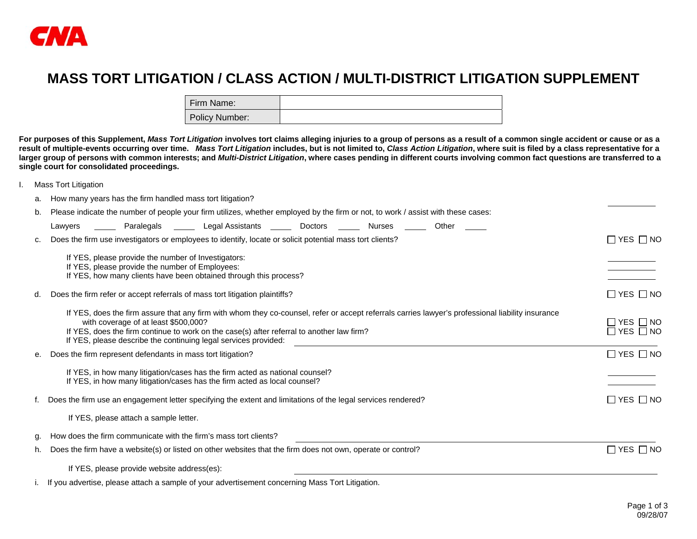

## **MASS TORT LITIGATION / CLASS ACTION / MULTI-DISTRICT LITIGATION SUPPLEMENT**

| Firm Name:     |  |
|----------------|--|
| Policy Number: |  |

**For purposes of this Supplement,** *Mass Tort Litigation* **involves tort claims alleging injuries to a group of persons as a result of a common single accident or cause or as a result of multiple-events occurring over time.** *Mass Tort Litigation* **includes, but is not limited to,** *Class Action Litigation***, where suit is filed by a class representative for a larger group of persons with common interests; and** *Multi-District Litigation***, where cases pending in different courts involving common fact questions are transferred to a single court for consolidated proceedings.** 

I. Mass Tort Litigation

| How many years has the firm handled mass tort litigation?<br>a. |  |
|-----------------------------------------------------------------|--|
|-----------------------------------------------------------------|--|

b. Please indicate the number of people your firm utilizes, whether employed by the firm or not, to work / assist with these cases:

|    | Legal Assistants<br>Doctors<br>Other<br>Paralegals<br>Nurses<br>Lawyers                                                                                                                                                                                                                                                                                   |                                              |
|----|-----------------------------------------------------------------------------------------------------------------------------------------------------------------------------------------------------------------------------------------------------------------------------------------------------------------------------------------------------------|----------------------------------------------|
|    | Does the firm use investigators or employees to identify, locate or solicit potential mass tort clients?                                                                                                                                                                                                                                                  | $\Box$ YES $\Box$ NO                         |
|    | If YES, please provide the number of Investigators:                                                                                                                                                                                                                                                                                                       |                                              |
|    | If YES, please provide the number of Employees:<br>If YES, how many clients have been obtained through this process?                                                                                                                                                                                                                                      |                                              |
| d. | Does the firm refer or accept referrals of mass tort litigation plaintiffs?                                                                                                                                                                                                                                                                               | $\Box$ YES $\Box$ NO                         |
|    | If YES, does the firm assure that any firm with whom they co-counsel, refer or accept referrals carries lawyer's professional liability insurance<br>with coverage of at least \$500,000?<br>If YES, does the firm continue to work on the case(s) after referral to another law firm?<br>If YES, please describe the continuing legal services provided: | $\Box$ YES $\Box$ NO<br>$\Box$ YES $\Box$ NO |
|    | Does the firm represent defendants in mass tort litigation?                                                                                                                                                                                                                                                                                               | $\Box$ YES $\Box$ NO                         |
|    | If YES, in how many litigation/cases has the firm acted as national counsel?<br>If YES, in how many litigation/cases has the firm acted as local counsel?                                                                                                                                                                                                 |                                              |
|    | Does the firm use an engagement letter specifying the extent and limitations of the legal services rendered?                                                                                                                                                                                                                                              | $\Box$ YES $\Box$ NO                         |
|    | If YES, please attach a sample letter.                                                                                                                                                                                                                                                                                                                    |                                              |
|    | How does the firm communicate with the firm's mass tort clients?                                                                                                                                                                                                                                                                                          |                                              |
| h. | Does the firm have a website(s) or listed on other websites that the firm does not own, operate or control?                                                                                                                                                                                                                                               | $\Box$ YES $\Box$ NO                         |
|    | If YES, please provide website address(es):                                                                                                                                                                                                                                                                                                               |                                              |
|    | If you advertise, please attach a sample of your advertisement concerning Mass Tort Litigation.                                                                                                                                                                                                                                                           |                                              |

Page 1 of 3 09/28/07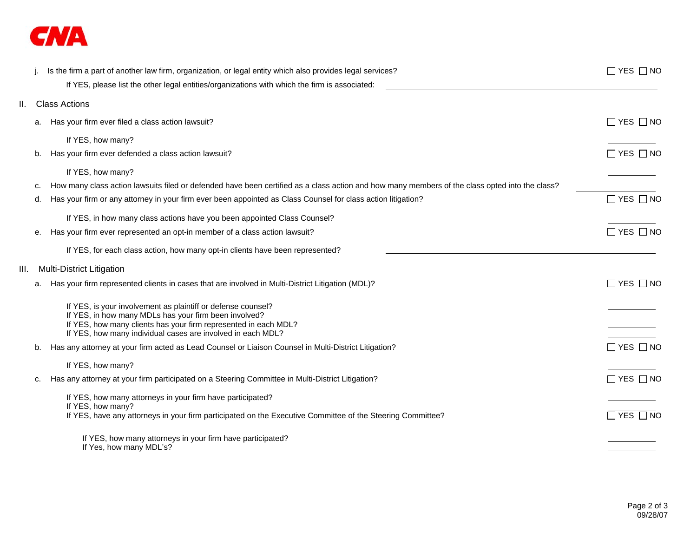

|      |    | Is the firm a part of another law firm, organization, or legal entity which also provides legal services?                                      | $\Box$ YES $\Box$ NO |
|------|----|------------------------------------------------------------------------------------------------------------------------------------------------|----------------------|
|      |    | If YES, please list the other legal entities/organizations with which the firm is associated:                                                  |                      |
| Ш.   |    | <b>Class Actions</b>                                                                                                                           |                      |
|      | a. | Has your firm ever filed a class action lawsuit?                                                                                               | $\Box$ YES $\Box$ NO |
|      |    | If YES, how many?                                                                                                                              |                      |
|      | b. | Has your firm ever defended a class action lawsuit?                                                                                            | $\Box$ YES $\Box$ NO |
|      |    | If YES, how many?                                                                                                                              |                      |
|      | c. | How many class action lawsuits filed or defended have been certified as a class action and how many members of the class opted into the class? |                      |
|      | d. | Has your firm or any attorney in your firm ever been appointed as Class Counsel for class action litigation?                                   | $\Box$ YES $\Box$ NO |
|      |    | If YES, in how many class actions have you been appointed Class Counsel?                                                                       |                      |
|      | е. | Has your firm ever represented an opt-in member of a class action lawsuit?                                                                     | $\Box$ YES $\Box$ NO |
|      |    | If YES, for each class action, how many opt-in clients have been represented?                                                                  |                      |
| III. |    | <b>Multi-District Litigation</b>                                                                                                               |                      |
|      | a. | Has your firm represented clients in cases that are involved in Multi-District Litigation (MDL)?                                               | $\Box$ YES $\Box$ NO |
|      |    | If YES, is your involvement as plaintiff or defense counsel?                                                                                   |                      |
|      |    | If YES, in how many MDLs has your firm been involved?                                                                                          |                      |
|      |    | If YES, how many clients has your firm represented in each MDL?<br>If YES, how many individual cases are involved in each MDL?                 |                      |
|      | b. | Has any attorney at your firm acted as Lead Counsel or Liaison Counsel in Multi-District Litigation?                                           | $\Box$ YES $\Box$ NO |
|      |    | If YES, how many?                                                                                                                              |                      |
|      | c. | Has any attorney at your firm participated on a Steering Committee in Multi-District Litigation?                                               | $\Box$ YES $\Box$ NO |
|      |    | If YES, how many attorneys in your firm have participated?                                                                                     |                      |
|      |    | If YES, how many?<br>If YES, have any attorneys in your firm participated on the Executive Committee of the Steering Committee?                | $\Box$ YES $\Box$ NO |
|      |    | If YES, how many attorneys in your firm have participated?                                                                                     |                      |
|      |    | If Yes, how many MDL's?                                                                                                                        |                      |